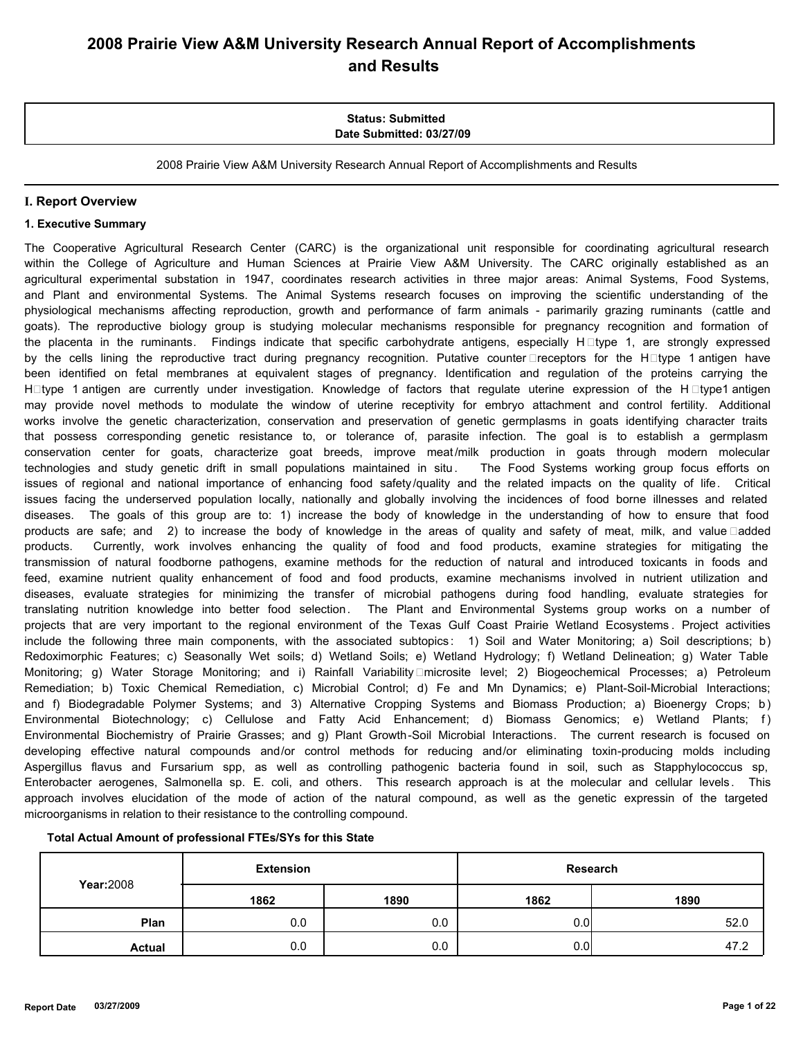# **2008 Prairie View A&M University Research Annual Report of Accomplishments and Results**

### **Status: Submitted Date Submitted: 03/27/09**

2008 Prairie View A&M University Research Annual Report of Accomplishments and Results

### **I. Report Overview**

#### **1. Executive Summary**

The Cooperative Agricultural Research Center (CARC) is the organizational unit responsible for coordinating agricultural research within the College of Agriculture and Human Sciences at Prairie View A&M University. The CARC originally established as an agricultural experimental substation in 1947, coordinates research activities in three major areas: Animal Systems, Food Systems, and Plant and environmental Systems. The Animal Systems research focuses on improving the scientific understanding of the physiological mechanisms affecting reproduction, growth and performance of farm animals - parimarily grazing ruminants (cattle and goats). The reproductive biology group is studying molecular mechanisms responsible for pregnancy recognition and formation of the placenta in the ruminants. Findings indicate that specific carbohydrate antigens, especially  $H \Box$ type 1, are strongly expressed by the cells lining the reproductive tract during pregnancy recognition. Putative counter  $\Box$ receptors for the H $\Box$ type 1 antigen have been identified on fetal membranes at equivalent stages of pregnancy. Identification and regulation of the proteins carrying the H**eta** 1 antigen are currently under investigation. Knowledge of factors that regulate uterine expression of the Hetype1 antigen may provide novel methods to modulate the window of uterine receptivity for embryo attachment and control fertility. Additional works involve the genetic characterization, conservation and preservation of genetic germplasms in goats identifying character traits that possess corresponding genetic resistance to, or tolerance of, parasite infection. The goal is to establish a germplasm conservation center for goats, characterize goat breeds, improve meat /milk production in goats through modern molecular technologies and study genetic drift in small populations maintained in situ. The Food Systems working group focus efforts on issues of regional and national importance of enhancing food safety /quality and the related impacts on the quality of life. Critical issues facing the underserved population locally, nationally and globally involving the incidences of food borne illnesses and related diseases. The goals of this group are to: 1) increase the body of knowledge in the understanding of how to ensure that food products are safe; and 2) to increase the body of knowledge in the areas of quality and safety of meat, milk, and value □added products. Currently, work involves enhancing the quality of food and food products, examine strategies for mitigating the transmission of natural foodborne pathogens, examine methods for the reduction of natural and introduced toxicants in foods and feed, examine nutrient quality enhancement of food and food products, examine mechanisms involved in nutrient utilization and diseases, evaluate strategies for minimizing the transfer of microbial pathogens during food handling, evaluate strategies for translating nutrition knowledge into better food selection. The Plant and Environmental Systems group works on a number of projects that are very important to the regional environment of the Texas Gulf Coast Prairie Wetland Ecosystems . Project activities include the following three main components, with the associated subtopics: 1) Soil and Water Monitoring; a) Soil descriptions; b) Redoximorphic Features; c) Seasonally Wet soils; d) Wetland Soils; e) Wetland Hydrology; f) Wetland Delineation; g) Water Table Monitoring; g) Water Storage Monitoring; and i) Rainfall Variability□microsite level; 2) Biogeochemical Processes; a) Petroleum Remediation; b) Toxic Chemical Remediation, c) Microbial Control; d) Fe and Mn Dynamics; e) Plant-Soil-Microbial Interactions; and f) Biodegradable Polymer Systems; and 3) Alternative Cropping Systems and Biomass Production; a) Bioenergy Crops; b) Environmental Biotechnology; c) Cellulose and Fatty Acid Enhancement; d) Biomass Genomics; e) Wetland Plants; f) Environmental Biochemistry of Prairie Grasses; and g) Plant Growth-Soil Microbial Interactions. The current research is focused on developing effective natural compounds and/or control methods for reducing and/or eliminating toxin-producing molds including Aspergillus flavus and Fursarium spp, as well as controlling pathogenic bacteria found in soil, such as Stapphylococcus sp, Enterobacter aerogenes, Salmonella sp. E. coli, and others. This research approach is at the molecular and cellular levels . This approach involves elucidation of the mode of action of the natural compound, as well as the genetic expressin of the targeted microorganisms in relation to their resistance to the controlling compound.

|  | Total Actual Amount of professional FTEs/SYs for this State |
|--|-------------------------------------------------------------|
|--|-------------------------------------------------------------|

|               | <b>Extension</b> |      | Research |      |
|---------------|------------------|------|----------|------|
| Year: 2008    | 1862             | 1890 | 1862     | 1890 |
| Plan          | 0.0              | 0.0  | 0.01     | 52.0 |
| <b>Actual</b> | 0.0              | 0.0  | 0.0      | 47.2 |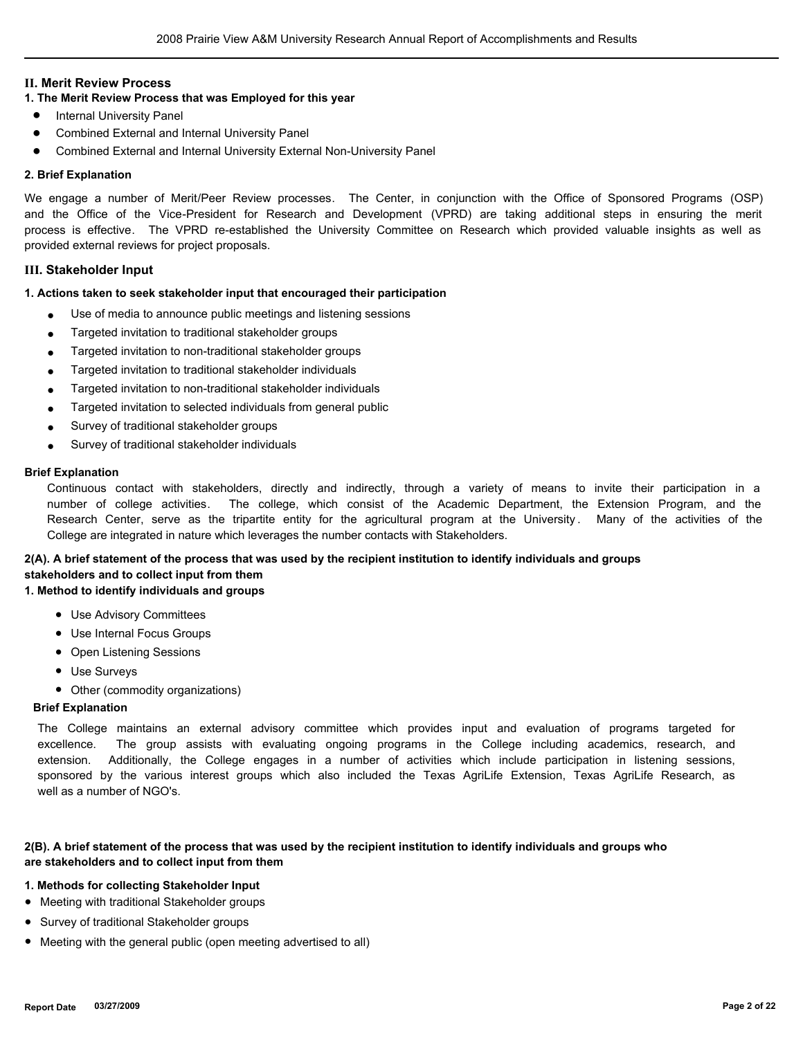### **II. Merit Review Process**

# **1. The Merit Review Process that was Employed for this year**

- Internal University Panel
- Combined External and Internal University Panel
- Combined External and Internal University External Non-University Panel

#### **2. Brief Explanation**

We engage a number of Merit/Peer Review processes. The Center, in conjunction with the Office of Sponsored Programs (OSP) and the Office of the Vice-President for Research and Development (VPRD) are taking additional steps in ensuring the merit process is effective. The VPRD re-established the University Committee on Research which provided valuable insights as well as provided external reviews for project proposals.

#### **III. Stakeholder Input**

#### **1. Actions taken to seek stakeholder input that encouraged their participation**

- Use of media to announce public meetings and listening sessions
- Targeted invitation to traditional stakeholder groups
- Targeted invitation to non-traditional stakeholder groups
- Targeted invitation to traditional stakeholder individuals
- Targeted invitation to non-traditional stakeholder individuals
- Targeted invitation to selected individuals from general public
- Survey of traditional stakeholder groups
- Survey of traditional stakeholder individuals

#### **Brief Explanation**

Continuous contact with stakeholders, directly and indirectly, through a variety of means to invite their participation in a number of college activities. The college, which consist of the Academic Department, the Extension Program, and the Research Center, serve as the tripartite entity for the agricultural program at the University . Many of the activities of the College are integrated in nature which leverages the number contacts with Stakeholders.

# **2(A). A brief statement of the process that was used by the recipient institution to identify individuals and groups**

# **stakeholders and to collect input from them**

# **1. Method to identify individuals and groups**

- Use Advisory Committees
- Use Internal Focus Groups
- Open Listening Sessions
- Use Surveys
- Other (commodity organizations)

### **Brief Explanation**

The College maintains an external advisory committee which provides input and evaluation of programs targeted for excellence. The group assists with evaluating ongoing programs in the College including academics, research, and extension. Additionally, the College engages in a number of activities which include participation in listening sessions, sponsored by the various interest groups which also included the Texas AgriLife Extension, Texas AgriLife Research, as well as a number of NGO's.

#### **2(B). A brief statement of the process that was used by the recipient institution to identify individuals and groups who are stakeholders and to collect input from them**

#### **1. Methods for collecting Stakeholder Input**

- Meeting with traditional Stakeholder groups
- Survey of traditional Stakeholder groups
- Meeting with the general public (open meeting advertised to all)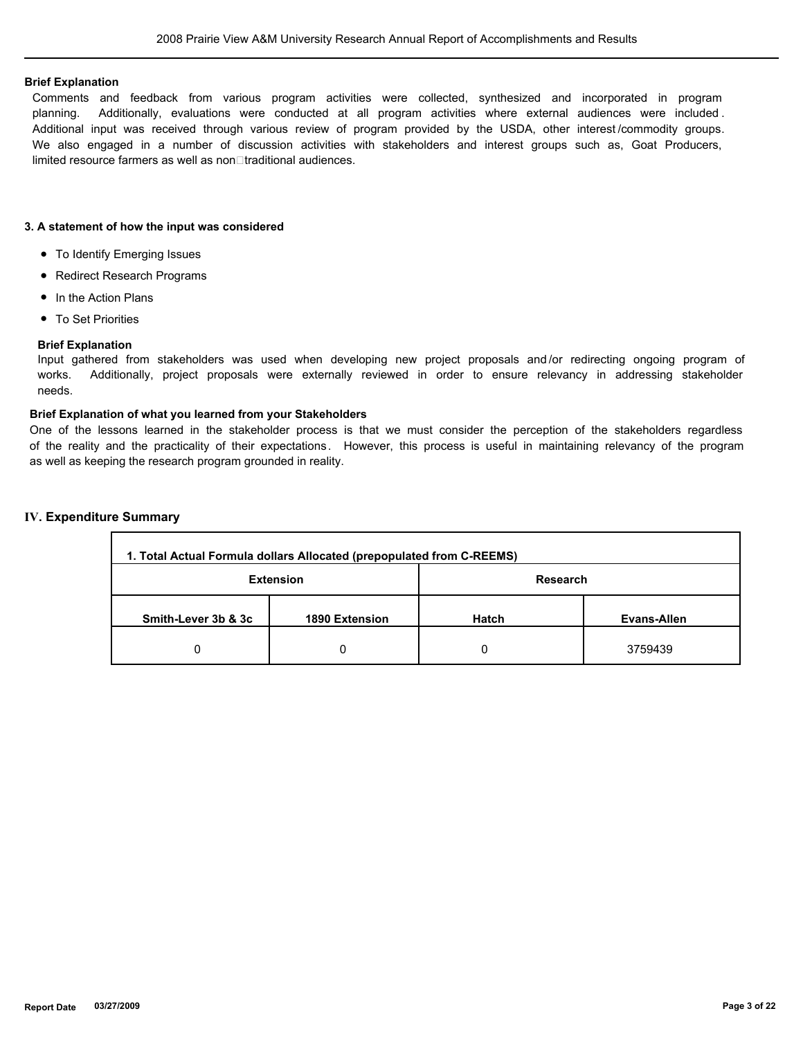#### **Brief Explanation**

Comments and feedback from various program activities were collected, synthesized and incorporated in program planning. Additionally, evaluations were conducted at all program activities where external audiences were included . Additional input was received through various review of program provided by the USDA, other interest /commodity groups. We also engaged in a number of discussion activities with stakeholders and interest groups such as, Goat Producers, limited resource farmers as well as non□traditional audiences.

### **3. A statement of how the input was considered**

- To Identify Emerging Issues
- Redirect Research Programs
- In the Action Plans
- To Set Priorities

### **Brief Explanation**

Input gathered from stakeholders was used when developing new project proposals and /or redirecting ongoing program of works. Additionally, project proposals were externally reviewed in order to ensure relevancy in addressing stakeholder needs.

### **Brief Explanation of what you learned from your Stakeholders**

One of the lessons learned in the stakeholder process is that we must consider the perception of the stakeholders regardless of the reality and the practicality of their expectations. However, this process is useful in maintaining relevancy of the program as well as keeping the research program grounded in reality.

#### **IV. Expenditure Summary** л

| 1. Total Actual Formula dollars Allocated (prepopulated from C-REEMS) |                  |              |             |  |  |
|-----------------------------------------------------------------------|------------------|--------------|-------------|--|--|
|                                                                       | <b>Extension</b> | Research     |             |  |  |
| Smith-Lever 3b & 3c                                                   | 1890 Extension   | <b>Hatch</b> | Evans-Allen |  |  |
| 0                                                                     |                  |              | 3759439     |  |  |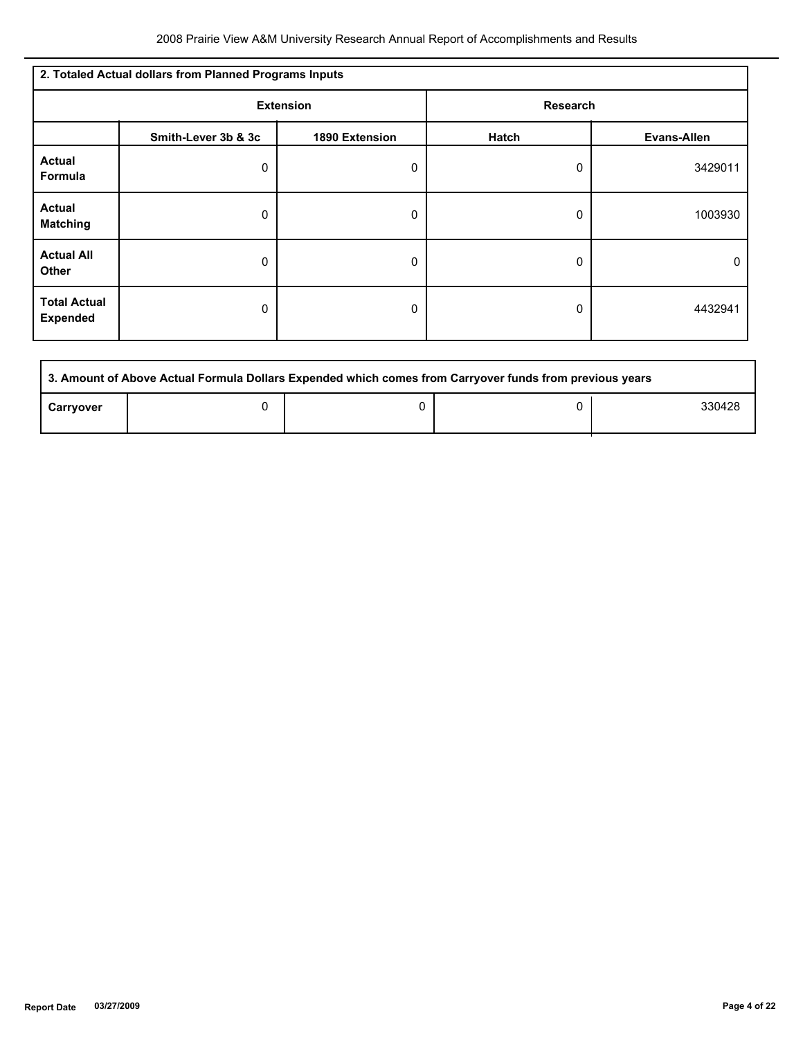| 2. Totaled Actual dollars from Planned Programs Inputs |                     |                  |                 |                    |  |
|--------------------------------------------------------|---------------------|------------------|-----------------|--------------------|--|
|                                                        |                     | <b>Extension</b> | <b>Research</b> |                    |  |
|                                                        | Smith-Lever 3b & 3c | 1890 Extension   | Hatch           | <b>Evans-Allen</b> |  |
| <b>Actual</b><br>Formula                               | 0                   | 0                | 0               | 3429011            |  |
| <b>Actual</b><br><b>Matching</b>                       | 0                   | 0                | 0               | 1003930            |  |
| <b>Actual All</b><br><b>Other</b>                      | 0                   | 0                | 0               | 0                  |  |
| <b>Total Actual</b><br><b>Expended</b>                 | 0                   | 0                | 0               | 4432941            |  |

| 3. Amount of Above Actual Formula Dollars Expended which comes from Carryover funds from previous years |  |  |  |        |  |
|---------------------------------------------------------------------------------------------------------|--|--|--|--------|--|
| Carryover                                                                                               |  |  |  | 330428 |  |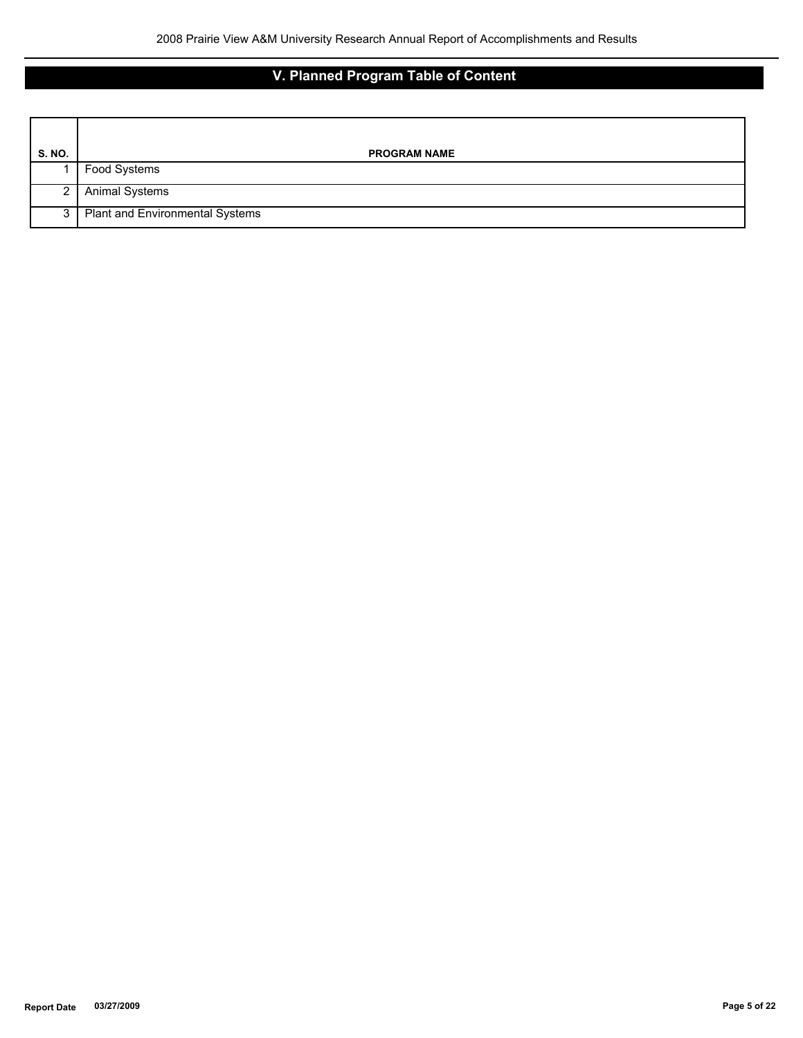# **V. Planned Program Table of Content**

| <b>S. NO.</b> | <b>PROGRAM NAME</b>                    |
|---------------|----------------------------------------|
|               | Food Systems                           |
| 2 I           | <b>Animal Systems</b>                  |
| 3 I           | <b>Plant and Environmental Systems</b> |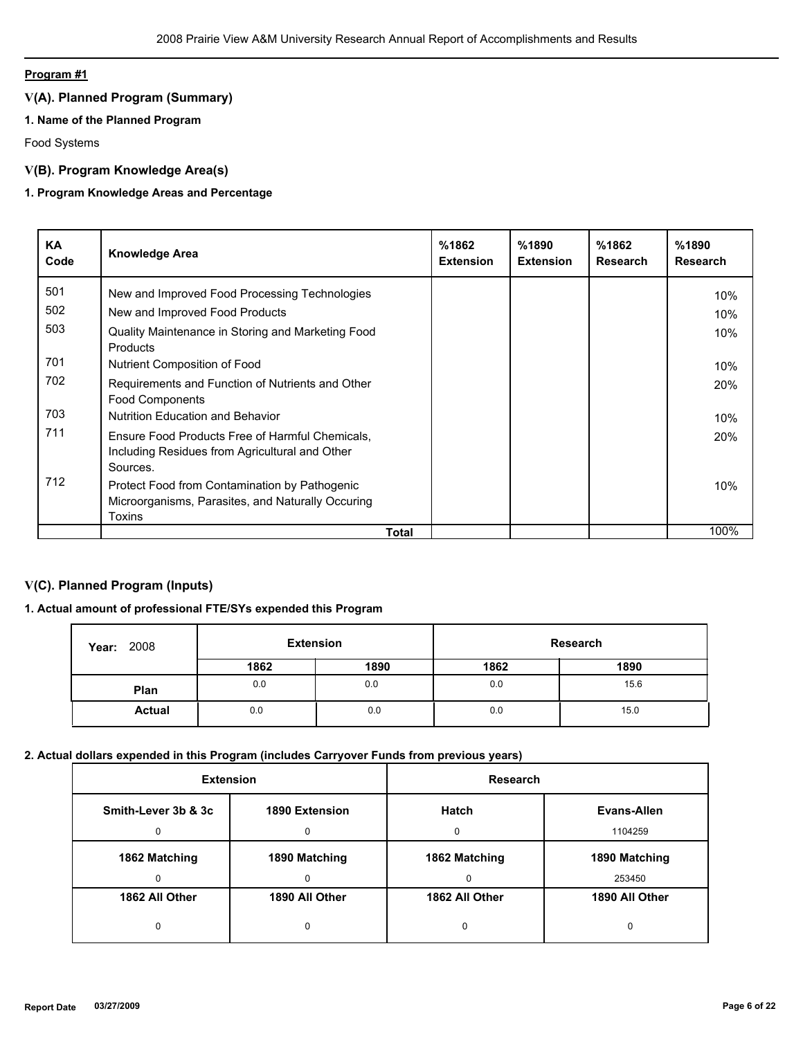# **Program #1**

# **V(A). Planned Program (Summary)**

# **1. Name of the Planned Program**

Food Systems

# **V(B). Program Knowledge Area(s)**

# **1. Program Knowledge Areas and Percentage**

| KA<br>Code | <b>Knowledge Area</b>                                                                                         | %1862<br><b>Extension</b> | %1890<br><b>Extension</b> | %1862<br><b>Research</b> | %1890<br><b>Research</b> |
|------------|---------------------------------------------------------------------------------------------------------------|---------------------------|---------------------------|--------------------------|--------------------------|
| 501        | New and Improved Food Processing Technologies                                                                 |                           |                           |                          | 10%                      |
| 502        | New and Improved Food Products                                                                                |                           |                           |                          | 10%                      |
| 503        | Quality Maintenance in Storing and Marketing Food<br><b>Products</b>                                          |                           |                           |                          | 10%                      |
| 701        | Nutrient Composition of Food                                                                                  |                           |                           |                          | 10%                      |
| 702        | Requirements and Function of Nutrients and Other<br><b>Food Components</b>                                    |                           |                           |                          | 20%                      |
| 703        | <b>Nutrition Education and Behavior</b>                                                                       |                           |                           |                          | 10%                      |
| 711        | Ensure Food Products Free of Harmful Chemicals,<br>Including Residues from Agricultural and Other<br>Sources. |                           |                           |                          | 20%                      |
| 712        | Protect Food from Contamination by Pathogenic<br>Microorganisms, Parasites, and Naturally Occuring<br>Toxins  |                           |                           |                          | 10%                      |
|            | Total                                                                                                         |                           |                           |                          | 100%                     |

# **V(C). Planned Program (Inputs)**

# **1. Actual amount of professional FTE/SYs expended this Program**

| 2008<br>Year: | <b>Extension</b> |      |      | Research |
|---------------|------------------|------|------|----------|
|               | 1862             | 1890 | 1862 | 1890     |
| Plan          | 0.0              | 0.0  | 0.0  | 15.6     |
| <b>Actual</b> | 0.0              | 0.0  | 0.0  | 15.0     |

### **2. Actual dollars expended in this Program (includes Carryover Funds from previous years)**

| <b>Extension</b>    |                | Research       |                |
|---------------------|----------------|----------------|----------------|
| Smith-Lever 3b & 3c | 1890 Extension | Hatch          | Evans-Allen    |
|                     | O              |                | 1104259        |
| 1862 Matching       | 1890 Matching  | 1862 Matching  | 1890 Matching  |
|                     | <sup>0</sup>   | $\Omega$       | 253450         |
| 1862 All Other      | 1890 All Other | 1862 All Other | 1890 All Other |
| 0                   | 0              | 0              | 0              |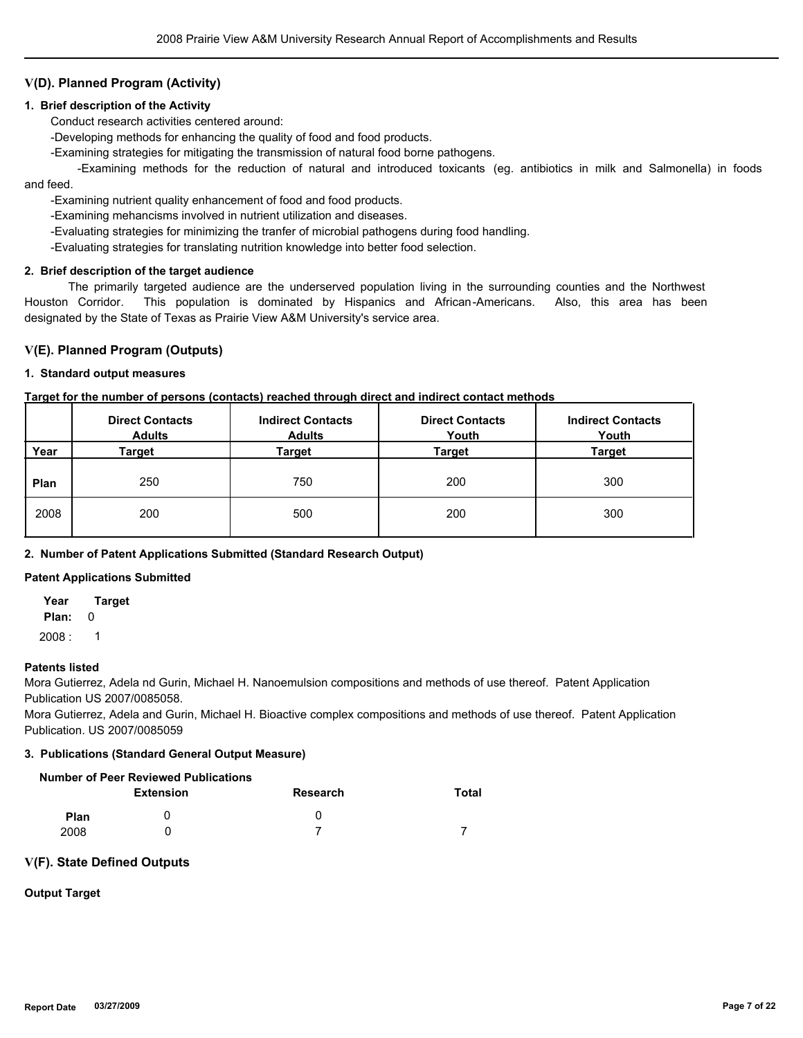# **V(D). Planned Program (Activity)**

### **1. Brief description of the Activity**

Conduct research activities centered around:

-Developing methods for enhancing the quality of food and food products.

-Examining strategies for mitigating the transmission of natural food borne pathogens.

 -Examining methods for the reduction of natural and introduced toxicants (eg. antibiotics in milk and Salmonella) in foods and feed.

-Examining nutrient quality enhancement of food and food products.

-Examining mehancisms involved in nutrient utilization and diseases.

-Evaluating strategies for minimizing the tranfer of microbial pathogens during food handling.

-Evaluating strategies for translating nutrition knowledge into better food selection.

### **2. Brief description of the target audience**

 The primarily targeted audience are the underserved population living in the surrounding counties and the Northwest Houston Corridor. This population is dominated by Hispanics and African-Americans. Also, this area has been designated by the State of Texas as Prairie View A&M University's service area.

### **V(E). Planned Program (Outputs)**

#### **1. Standard output measures**

#### **Target for the number of persons (contacts) reached through direct and indirect contact methods**

|      | <b>Direct Contacts</b><br><b>Adults</b> | <b>Indirect Contacts</b><br><b>Adults</b> | <b>Direct Contacts</b><br>Youth | <b>Indirect Contacts</b><br>Youth |
|------|-----------------------------------------|-------------------------------------------|---------------------------------|-----------------------------------|
| Year | Target                                  | Target                                    | Target                          | <b>Target</b>                     |
| Plan | 250                                     | 750                                       | 200                             | 300                               |
| 2008 | 200                                     | 500                                       | 200                             | 300                               |

### **2. Number of Patent Applications Submitted (Standard Research Output)**

#### **Patent Applications Submitted**

**Year Target**

**Plan:** 0

 $2008: 1$ 

#### **Patents listed**

Mora Gutierrez, Adela nd Gurin, Michael H. Nanoemulsion compositions and methods of use thereof. Patent Application Publication US 2007/0085058.

Mora Gutierrez, Adela and Gurin, Michael H. Bioactive complex compositions and methods of use thereof. Patent Application Publication. US 2007/0085059

#### **3. Publications (Standard General Output Measure)**

|             | Number of Peer Reviewed Publications |          |       |
|-------------|--------------------------------------|----------|-------|
|             | Extension                            | Research | Total |
| <b>Plan</b> |                                      |          |       |
| 2008        |                                      |          |       |

#### **V(F). State Defined Outputs**

### **Output Target**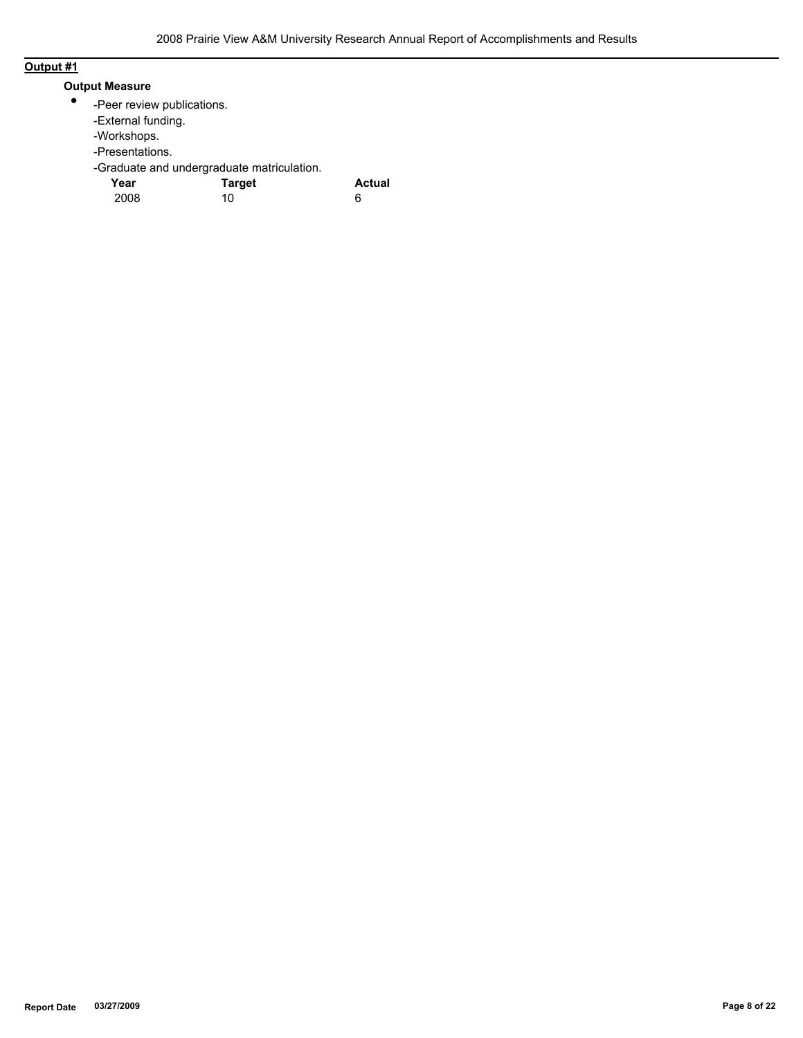# **Output #1**

# **Output Measure**

- $\bullet$ -Peer review publications.
	- -External funding.
	- -Workshops.
	- -Presentations.
	- -Graduate and undergraduate matriculation.

| Year | <b>Target</b> | <b>Actual</b> |
|------|---------------|---------------|
| 2008 | 10            | 6             |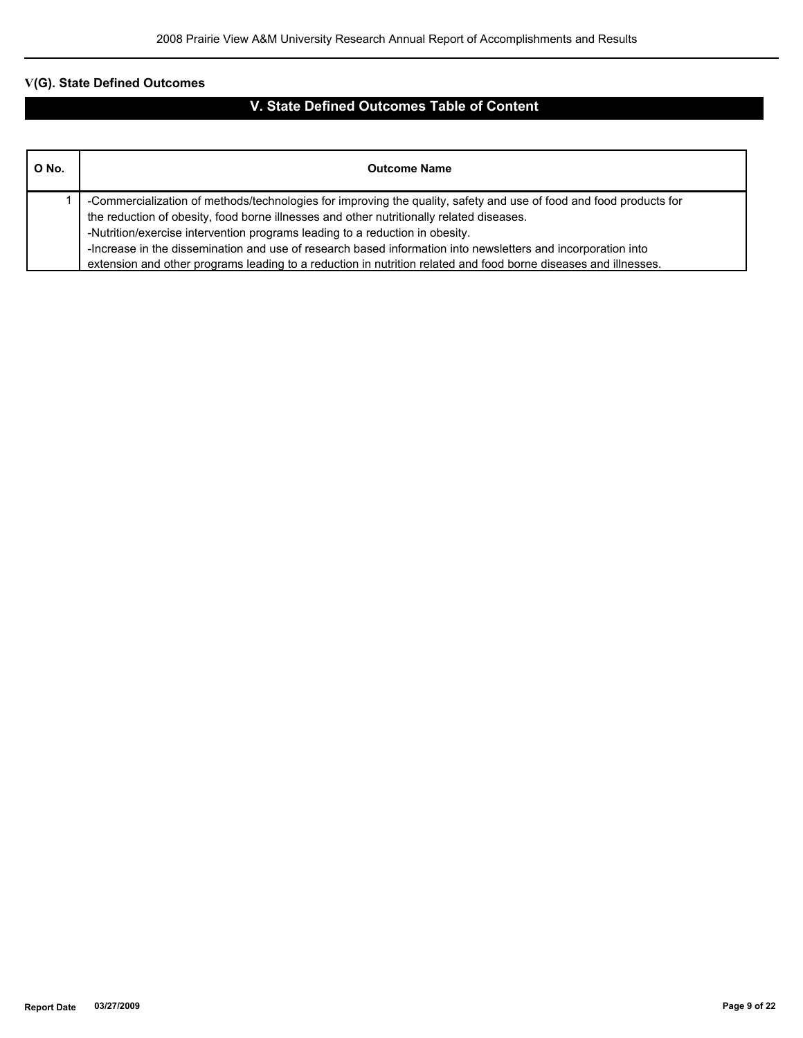# **V(G). State Defined Outcomes**

# **V. State Defined Outcomes Table of Content**

| O No. | <b>Outcome Name</b>                                                                                                |  |  |
|-------|--------------------------------------------------------------------------------------------------------------------|--|--|
|       | -Commercialization of methods/technologies for improving the quality, safety and use of food and food products for |  |  |
|       | the reduction of obesity, food borne illnesses and other nutritionally related diseases.                           |  |  |
|       | -Nutrition/exercise intervention programs leading to a reduction in obesity.                                       |  |  |
|       | -Increase in the dissemination and use of research based information into newsletters and incorporation into       |  |  |
|       | extension and other programs leading to a reduction in nutrition related and food borne diseases and illnesses.    |  |  |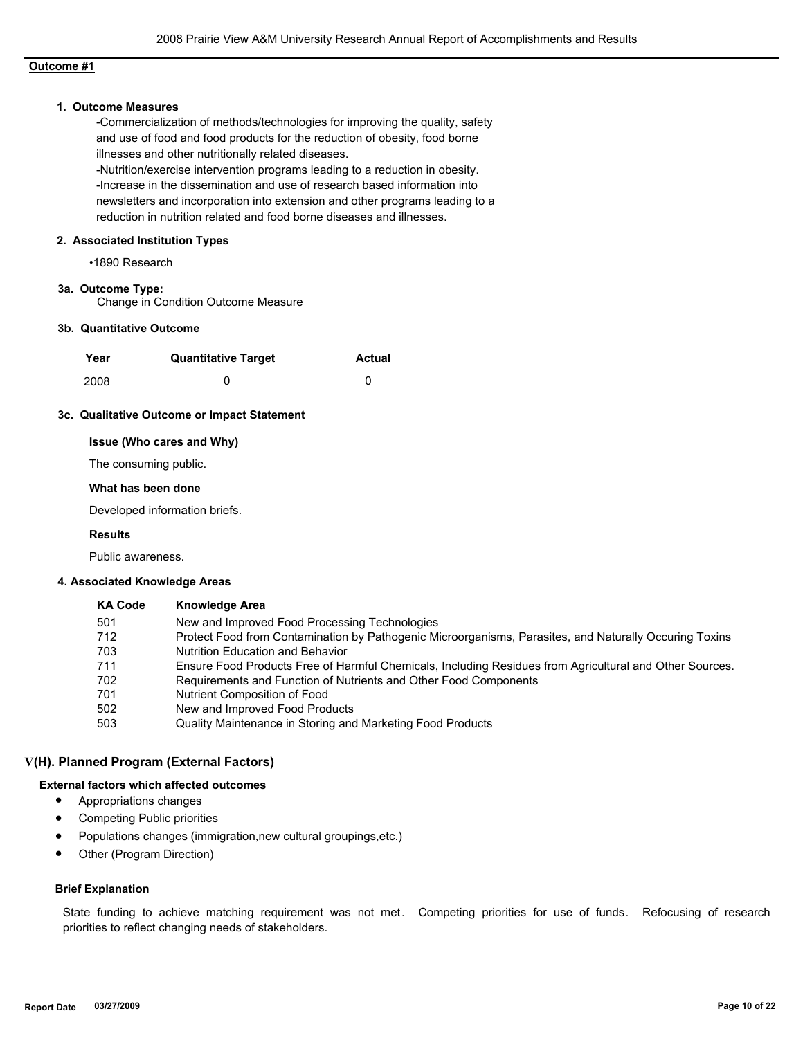## **Outcome #1**

### **1. Outcome Measures**

-Commercialization of methods/technologies for improving the quality, safety and use of food and food products for the reduction of obesity, food borne illnesses and other nutritionally related diseases.

-Nutrition/exercise intervention programs leading to a reduction in obesity. -Increase in the dissemination and use of research based information into newsletters and incorporation into extension and other programs leading to a reduction in nutrition related and food borne diseases and illnesses.

#### **2. Associated Institution Types**

•1890 Research

### **3a. Outcome Type:**

Change in Condition Outcome Measure

### **3b. Quantitative Outcome**

| Year | <b>Quantitative Target</b> | <b>Actual</b> |
|------|----------------------------|---------------|
| 2008 |                            |               |

#### **3c. Qualitative Outcome or Impact Statement**

### **Issue (Who cares and Why)**

The consuming public.

#### **What has been done**

Developed information briefs.

### **Results**

Public awareness.

#### **4. Associated Knowledge Areas**

| <b>KA Code</b> | <b>Knowledge Area</b>                                                                                   |
|----------------|---------------------------------------------------------------------------------------------------------|
| 501            | New and Improved Food Processing Technologies                                                           |
| 712            | Protect Food from Contamination by Pathogenic Microorganisms, Parasites, and Naturally Occuring Toxins  |
| 703            | <b>Nutrition Education and Behavior</b>                                                                 |
| 711            | Ensure Food Products Free of Harmful Chemicals, Including Residues from Agricultural and Other Sources. |
| 702            | Requirements and Function of Nutrients and Other Food Components                                        |
| 701            | Nutrient Composition of Food                                                                            |
| 502            | New and Improved Food Products                                                                          |
| 503            | Quality Maintenance in Storing and Marketing Food Products                                              |

#### **V(H). Planned Program (External Factors)**

#### **External factors which affected outcomes**

- Appropriations changes
- Competing Public priorities
- Populations changes (immigration,new cultural groupings,etc.)
- Other (Program Direction)

#### **Brief Explanation**

State funding to achieve matching requirement was not met. Competing priorities for use of funds. Refocusing of research priorities to reflect changing needs of stakeholders.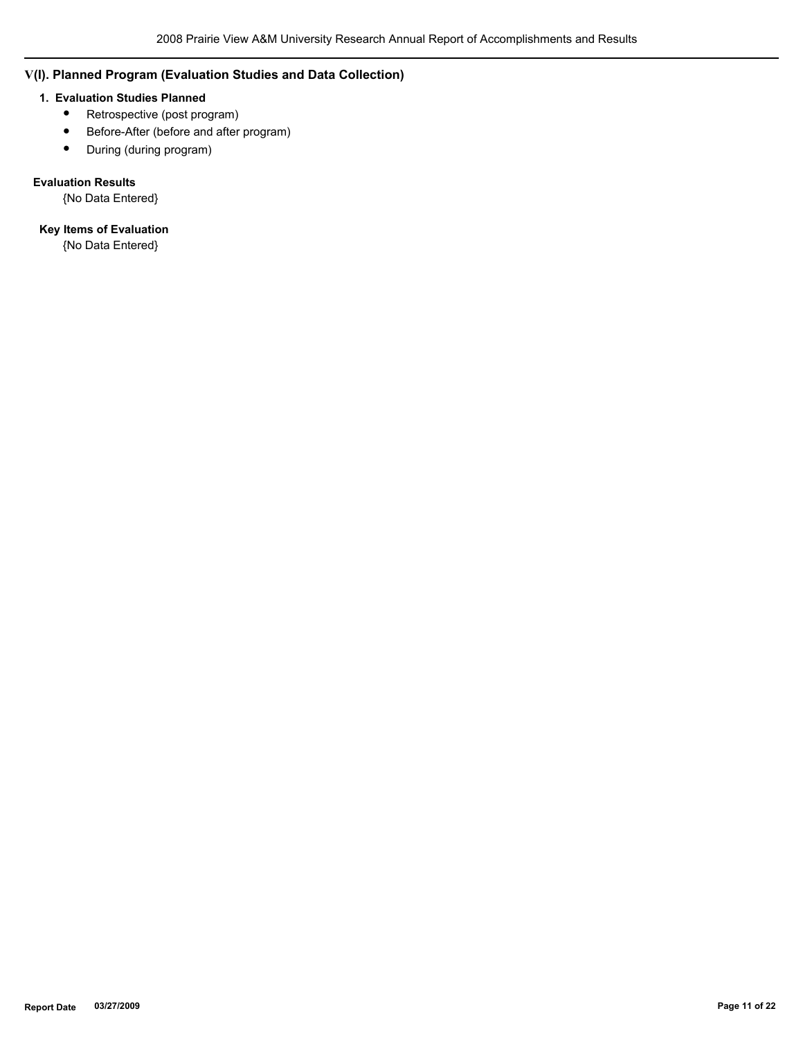# **V(I). Planned Program (Evaluation Studies and Data Collection)**

### **1. Evaluation Studies Planned**

- Retrospective (post program)
- Before-After (before and after program)
- During (during program)

# **Evaluation Results**

{No Data Entered}

# **Key Items of Evaluation**

{No Data Entered}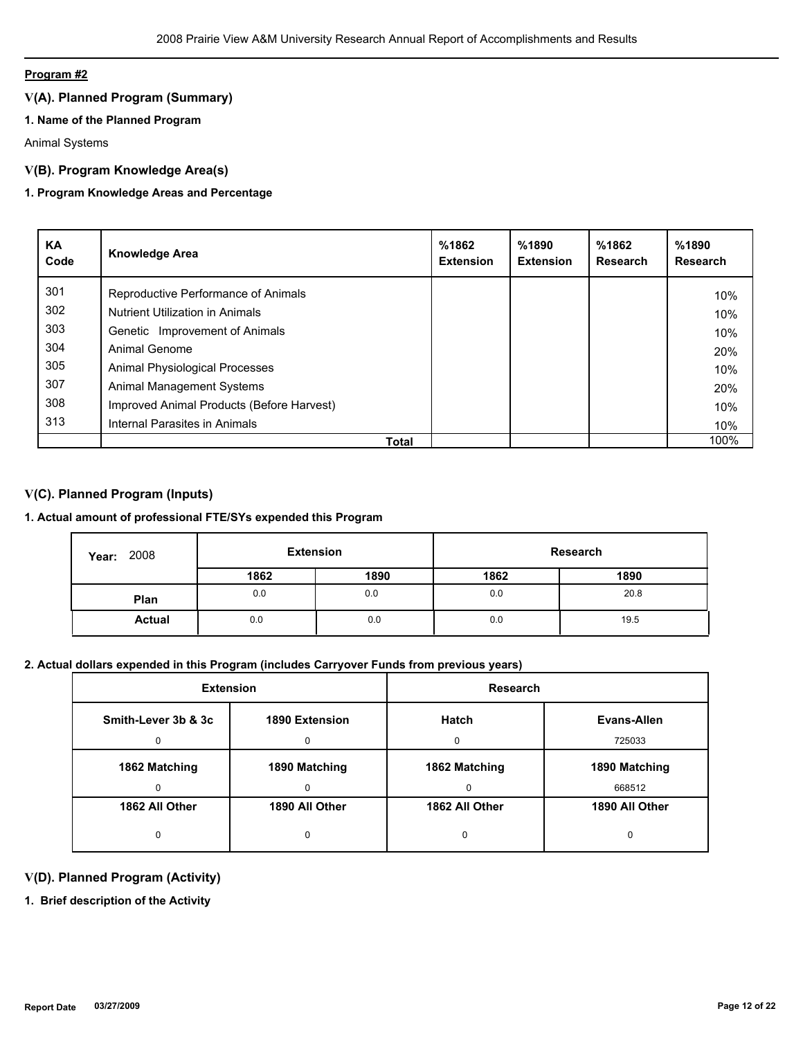# **Program #2**

# **V(A). Planned Program (Summary)**

# **1. Name of the Planned Program**

Animal Systems

# **V(B). Program Knowledge Area(s)**

# **1. Program Knowledge Areas and Percentage**

| <b>KA</b><br>Code | <b>Knowledge Area</b>                     | %1862<br><b>Extension</b> | %1890<br><b>Extension</b> | %1862<br><b>Research</b> | %1890<br><b>Research</b> |
|-------------------|-------------------------------------------|---------------------------|---------------------------|--------------------------|--------------------------|
| 301               | Reproductive Performance of Animals       |                           |                           |                          | 10%                      |
| 302               | <b>Nutrient Utilization in Animals</b>    |                           |                           |                          | 10%                      |
| 303               | Genetic Improvement of Animals            |                           |                           |                          | 10%                      |
| 304               | Animal Genome                             |                           |                           |                          | 20%                      |
| 305               | Animal Physiological Processes            |                           |                           |                          | 10%                      |
| 307               | Animal Management Systems                 |                           |                           |                          | 20%                      |
| 308               | Improved Animal Products (Before Harvest) |                           |                           |                          | 10%                      |
| 313               | Internal Parasites in Animals             |                           |                           |                          | 10%                      |
|                   | <b>Total</b>                              |                           |                           |                          | 100%                     |

# **V(C). Planned Program (Inputs)**

# **1. Actual amount of professional FTE/SYs expended this Program**

| 2008<br>Year: | <b>Extension</b> |      | Research |      |
|---------------|------------------|------|----------|------|
|               | 1862             | 1890 | 1862     | 1890 |
| Plan          | 0.0              | 0.0  | 0.0      | 20.8 |
| <b>Actual</b> | 0.0              | 0.0  | 0.0      | 19.5 |

# **2. Actual dollars expended in this Program (includes Carryover Funds from previous years)**

| <b>Extension</b>    |                | Research       |                |
|---------------------|----------------|----------------|----------------|
| Smith-Lever 3b & 3c | 1890 Extension | Hatch          | Evans-Allen    |
|                     |                |                | 725033         |
| 1862 Matching       | 1890 Matching  | 1862 Matching  | 1890 Matching  |
|                     |                | $\Omega$       | 668512         |
| 1862 All Other      | 1890 All Other | 1862 All Other | 1890 All Other |
|                     |                | 0              |                |

# **V(D). Planned Program (Activity)**

**1. Brief description of the Activity**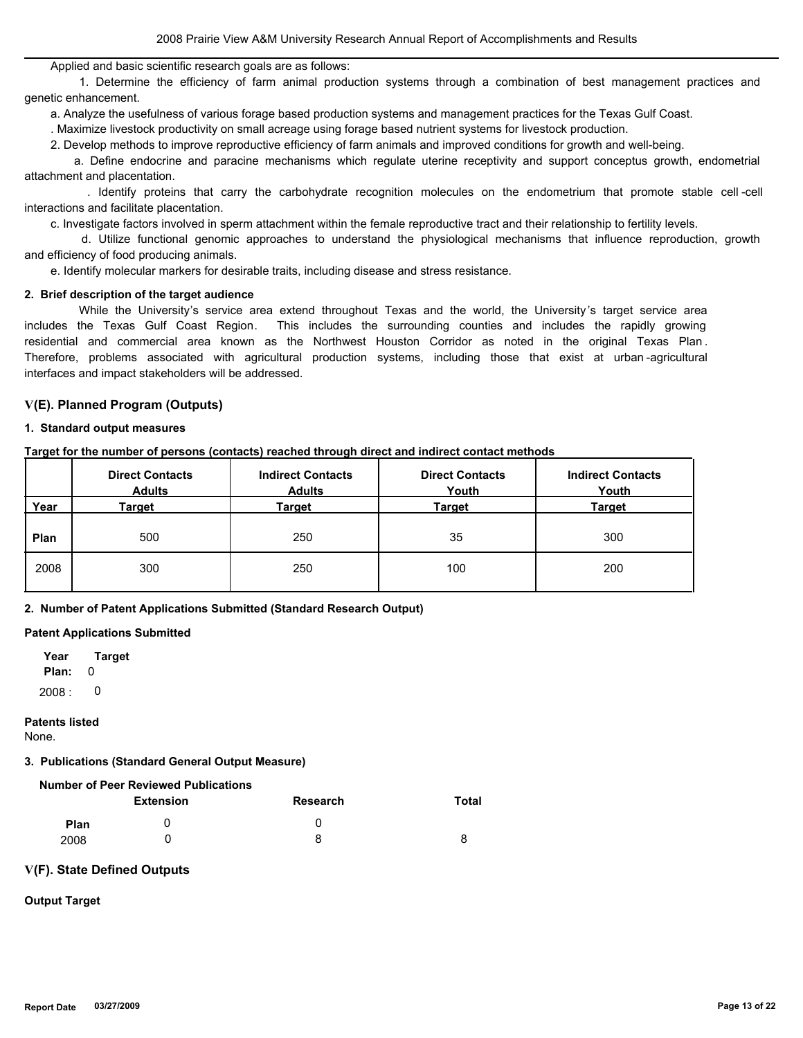Applied and basic scientific research goals are as follows:

 1. Determine the efficiency of farm animal production systems through a combination of best management practices and genetic enhancement.

a. Analyze the usefulness of various forage based production systems and management practices for the Texas Gulf Coast.

. Maximize livestock productivity on small acreage using forage based nutrient systems for livestock production.

2. Develop methods to improve reproductive efficiency of farm animals and improved conditions for growth and well-being.

 a. Define endocrine and paracine mechanisms which regulate uterine receptivity and support conceptus growth, endometrial attachment and placentation.

 . Identify proteins that carry the carbohydrate recognition molecules on the endometrium that promote stable cell -cell interactions and facilitate placentation.

c. Investigate factors involved in sperm attachment within the female reproductive tract and their relationship to fertility levels.

 d. Utilize functional genomic approaches to understand the physiological mechanisms that influence reproduction, growth and efficiency of food producing animals.

e. Identify molecular markers for desirable traits, including disease and stress resistance.

#### **2. Brief description of the target audience**

 While the University's service area extend throughout Texas and the world, the University 's target service area includes the Texas Gulf Coast Region. This includes the surrounding counties and includes the rapidly growing residential and commercial area known as the Northwest Houston Corridor as noted in the original Texas Plan . Therefore, problems associated with agricultural production systems, including those that exist at urban -agricultural interfaces and impact stakeholders will be addressed.

#### **V(E). Planned Program (Outputs)**

#### **1. Standard output measures**

|      | <b>Direct Contacts</b><br><b>Adults</b> | <b>Indirect Contacts</b><br><b>Adults</b> | <b>Direct Contacts</b><br>Youth | <b>Indirect Contacts</b><br>Youth |
|------|-----------------------------------------|-------------------------------------------|---------------------------------|-----------------------------------|
| Year | <u>Target</u>                           | Target                                    | <b>Target</b>                   | <b>Target</b>                     |
| Plan | 500                                     | 250                                       | 35                              | 300                               |
| 2008 | 300                                     | 250                                       | 100                             | 200                               |

**Target for the number of persons (contacts) reached through direct and indirect contact methods**

**2. Number of Patent Applications Submitted (Standard Research Output)**

#### **Patent Applications Submitted**

**Plan:** 0 **Year Target**  $2008:0$ 

#### **Patents listed**

None.

#### **3. Publications (Standard General Output Measure)**

|      | <b>Extension</b> | <b>Research</b> | <b>Total</b> |
|------|------------------|-----------------|--------------|
| Plan |                  |                 |              |
| 2008 |                  | 8               | 8            |

#### **V(F). State Defined Outputs**

# **Output Target**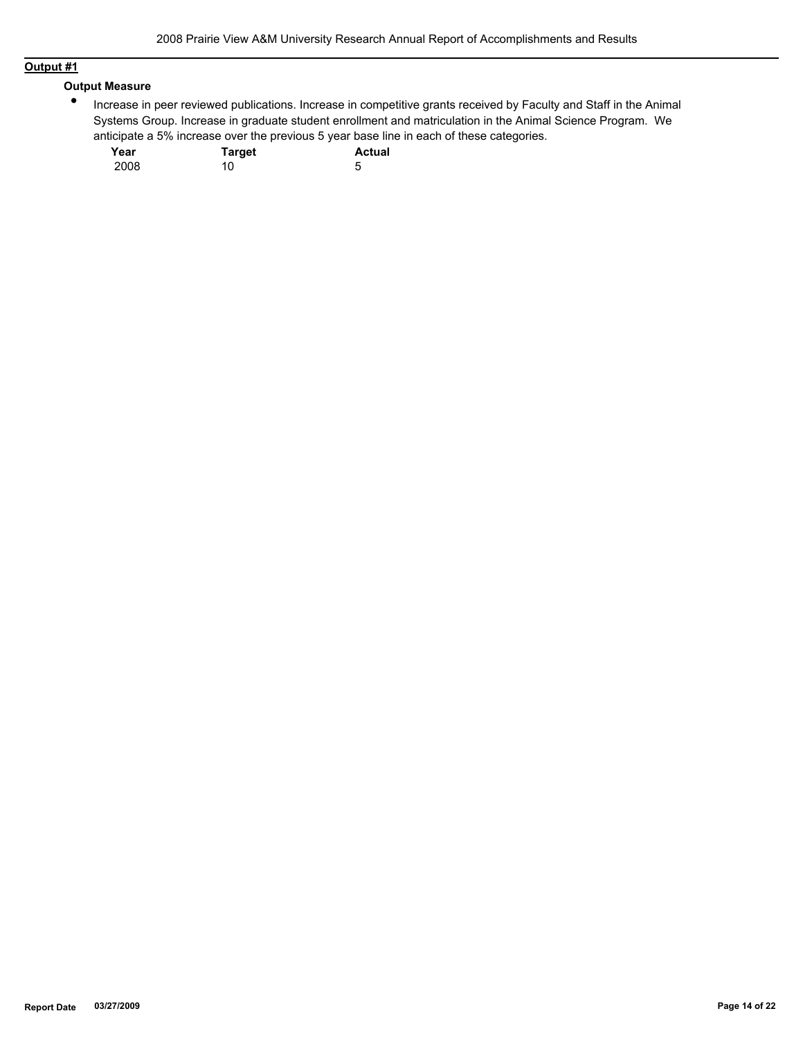# **Output #1**

### **Output Measure**

 $\bullet$ Increase in peer reviewed publications. Increase in competitive grants received by Faculty and Staff in the Animal Systems Group. Increase in graduate student enrollment and matriculation in the Animal Science Program. We anticipate a 5% increase over the previous 5 year base line in each of these categories.

| Year | <b>Target</b> | <b>Actual</b> |
|------|---------------|---------------|
| 2008 | 10            |               |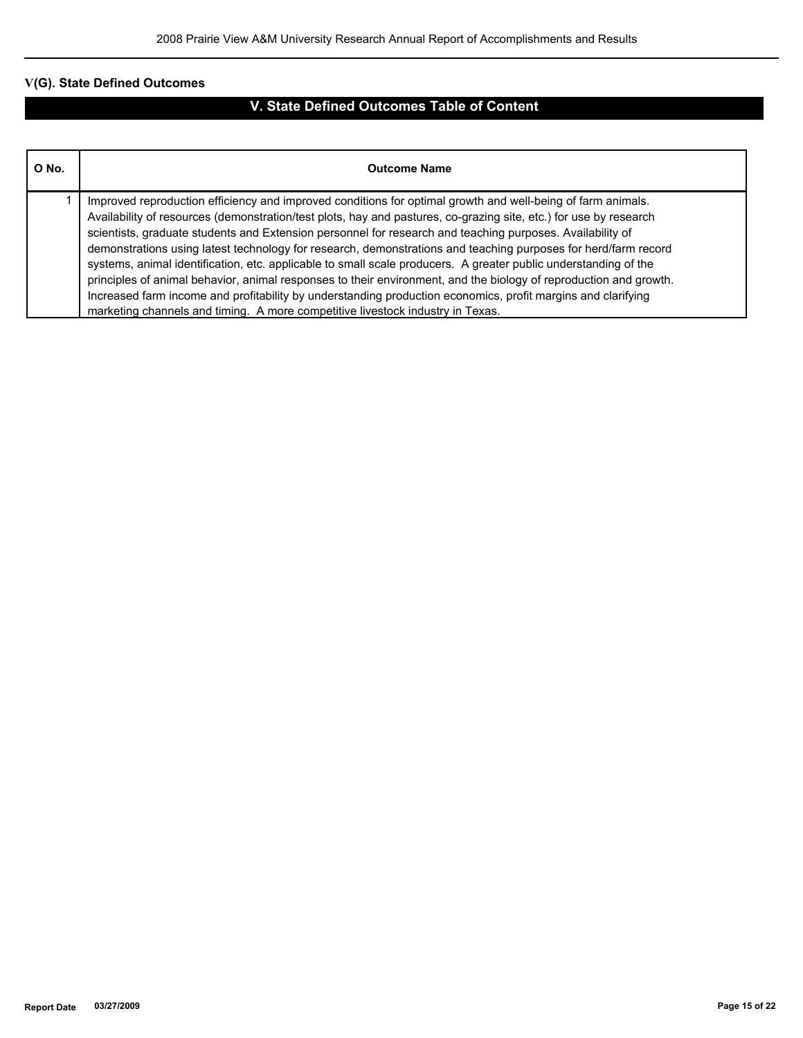# **V(G). State Defined Outcomes**

# **V. State Defined Outcomes Table of Content**

| O No. | <b>Outcome Name</b>                                                                                                                                                                                                                                                                                                                                                                                                                                                                                                                                                                                                                                                                                                                                                                                                                                                                                       |
|-------|-----------------------------------------------------------------------------------------------------------------------------------------------------------------------------------------------------------------------------------------------------------------------------------------------------------------------------------------------------------------------------------------------------------------------------------------------------------------------------------------------------------------------------------------------------------------------------------------------------------------------------------------------------------------------------------------------------------------------------------------------------------------------------------------------------------------------------------------------------------------------------------------------------------|
|       | Improved reproduction efficiency and improved conditions for optimal growth and well-being of farm animals.<br>Availability of resources (demonstration/test plots, hay and pastures, co-grazing site, etc.) for use by research<br>scientists, graduate students and Extension personnel for research and teaching purposes. Availability of<br>demonstrations using latest technology for research, demonstrations and teaching purposes for herd/farm record<br>systems, animal identification, etc. applicable to small scale producers. A greater public understanding of the<br>principles of animal behavior, animal responses to their environment, and the biology of reproduction and growth.<br>Increased farm income and profitability by understanding production economics, profit margins and clarifying<br>marketing channels and timing. A more competitive livestock industry in Texas. |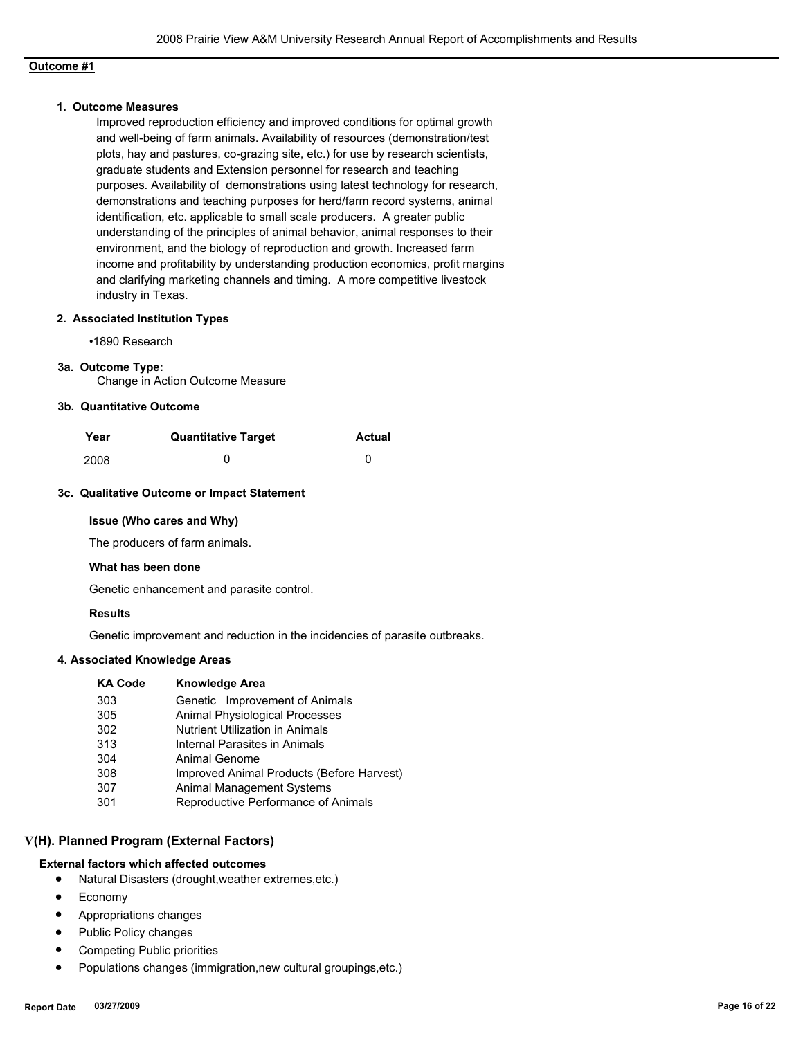# **Outcome #1**

### **1. Outcome Measures**

Improved reproduction efficiency and improved conditions for optimal growth and well-being of farm animals. Availability of resources (demonstration/test plots, hay and pastures, co-grazing site, etc.) for use by research scientists, graduate students and Extension personnel for research and teaching purposes. Availability of demonstrations using latest technology for research, demonstrations and teaching purposes for herd/farm record systems, animal identification, etc. applicable to small scale producers. A greater public understanding of the principles of animal behavior, animal responses to their environment, and the biology of reproduction and growth. Increased farm income and profitability by understanding production economics, profit margins and clarifying marketing channels and timing. A more competitive livestock industry in Texas.

## **2. Associated Institution Types**

•1890 Research

#### **3a. Outcome Type:**

Change in Action Outcome Measure

### **3b. Quantitative Outcome**

| Year | <b>Quantitative Target</b> | <b>Actual</b> |
|------|----------------------------|---------------|
| 2008 |                            |               |

### **3c. Qualitative Outcome or Impact Statement**

#### **Issue (Who cares and Why)**

The producers of farm animals.

#### **What has been done**

Genetic enhancement and parasite control.

### **Results**

Genetic improvement and reduction in the incidencies of parasite outbreaks.

### **4. Associated Knowledge Areas**

| <b>KA Code</b> | <b>Knowledge Area</b>                     |
|----------------|-------------------------------------------|
| 303            | Genetic Improvement of Animals            |
| 305            | Animal Physiological Processes            |
| 302            | <b>Nutrient Utilization in Animals</b>    |
| 313            | Internal Parasites in Animals             |
| 304            | Animal Genome                             |
| 308            | Improved Animal Products (Before Harvest) |
| 307            | <b>Animal Management Systems</b>          |
| 301            | Reproductive Performance of Animals       |
|                |                                           |

### **V(H). Planned Program (External Factors)**

### **External factors which affected outcomes**

- Natural Disasters (drought,weather extremes,etc.)
- Economy
- Appropriations changes
- Public Policy changes
- Competing Public priorities
- Populations changes (immigration,new cultural groupings,etc.)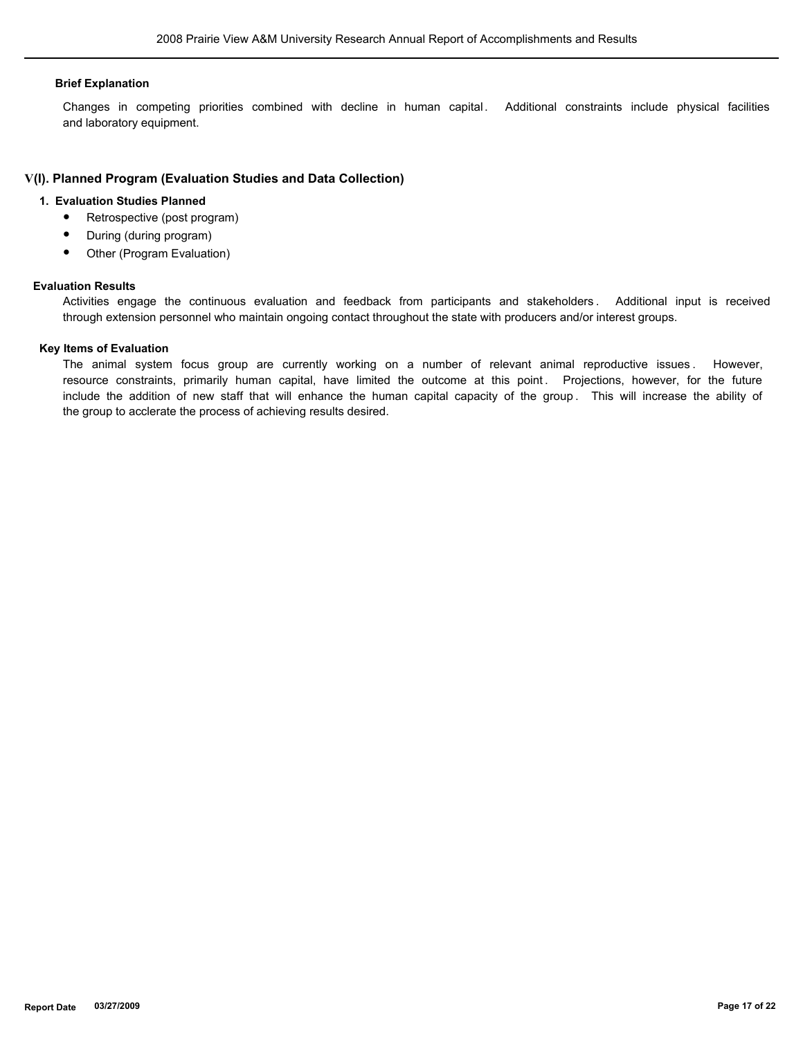#### **Brief Explanation**

Changes in competing priorities combined with decline in human capital. Additional constraints include physical facilities and laboratory equipment.

### **V(I). Planned Program (Evaluation Studies and Data Collection)**

### **1. Evaluation Studies Planned**

- Retrospective (post program)
- During (during program)
- Other (Program Evaluation)

#### **Evaluation Results**

Activities engage the continuous evaluation and feedback from participants and stakeholders . Additional input is received through extension personnel who maintain ongoing contact throughout the state with producers and/or interest groups.

#### **Key Items of Evaluation**

The animal system focus group are currently working on a number of relevant animal reproductive issues . However, resource constraints, primarily human capital, have limited the outcome at this point. Projections, however, for the future include the addition of new staff that will enhance the human capital capacity of the group . This will increase the ability of the group to acclerate the process of achieving results desired.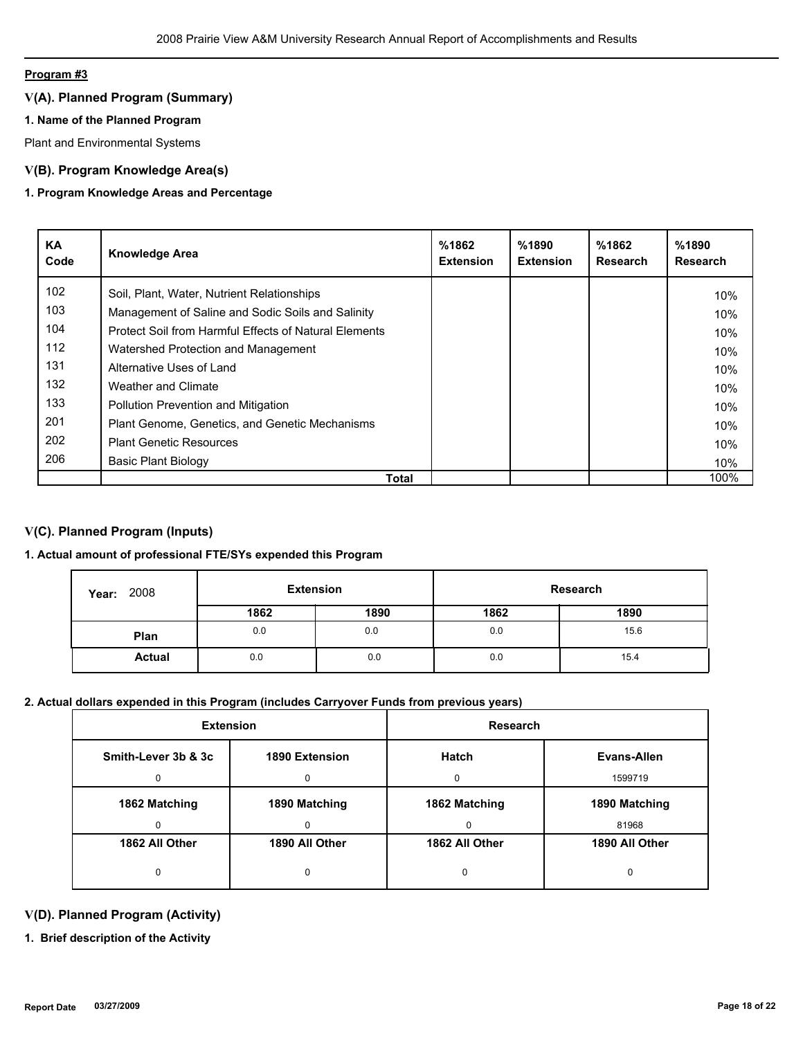# **Program #3**

# **V(A). Planned Program (Summary)**

# **1. Name of the Planned Program**

Plant and Environmental Systems

# **V(B). Program Knowledge Area(s)**

# **1. Program Knowledge Areas and Percentage**

| <b>KA</b><br>Code | <b>Knowledge Area</b>                                 | %1862<br><b>Extension</b> | %1890<br><b>Extension</b> | %1862<br><b>Research</b> | %1890<br><b>Research</b> |
|-------------------|-------------------------------------------------------|---------------------------|---------------------------|--------------------------|--------------------------|
| 102 <sub>2</sub>  | Soil, Plant, Water, Nutrient Relationships            |                           |                           |                          | 10%                      |
| 103               | Management of Saline and Sodic Soils and Salinity     |                           |                           |                          | 10%                      |
| 104               | Protect Soil from Harmful Effects of Natural Elements |                           |                           |                          | 10%                      |
| 112               | Watershed Protection and Management                   |                           |                           |                          | 10%                      |
| 131               | Alternative Uses of Land                              |                           |                           |                          | 10%                      |
| 132               | Weather and Climate                                   |                           |                           |                          | 10%                      |
| 133               | <b>Pollution Prevention and Mitigation</b>            |                           |                           |                          | 10%                      |
| 201               | Plant Genome, Genetics, and Genetic Mechanisms        |                           |                           |                          | 10%                      |
| 202               | <b>Plant Genetic Resources</b>                        |                           |                           |                          | 10%                      |
| 206               | Basic Plant Biology                                   |                           |                           |                          | 10%                      |
|                   | Total                                                 |                           |                           |                          | 100%                     |

# **V(C). Planned Program (Inputs)**

# **1. Actual amount of professional FTE/SYs expended this Program**

| 2008<br>Year: | <b>Extension</b> |      |      | Research |
|---------------|------------------|------|------|----------|
|               | 1862             | 1890 | 1862 | 1890     |
| Plan          | 0.0              | 0.0  | 0.0  | 15.6     |
| <b>Actual</b> | 0.0              | 0.0  | 0.0  | 15.4     |

# **2. Actual dollars expended in this Program (includes Carryover Funds from previous years)**

| <b>Extension</b>    |                | <b>Research</b> |                |
|---------------------|----------------|-----------------|----------------|
| Smith-Lever 3b & 3c | 1890 Extension | <b>Hatch</b>    | Evans-Allen    |
| O.                  | ŋ              | $\Omega$        | 1599719        |
| 1862 Matching       | 1890 Matching  | 1862 Matching   | 1890 Matching  |
| n                   | O              | $\Omega$        | 81968          |
| 1862 All Other      | 1890 All Other | 1862 All Other  | 1890 All Other |
| 0                   | 0              | 0               | 0              |

# **V(D). Planned Program (Activity)**

**1. Brief description of the Activity**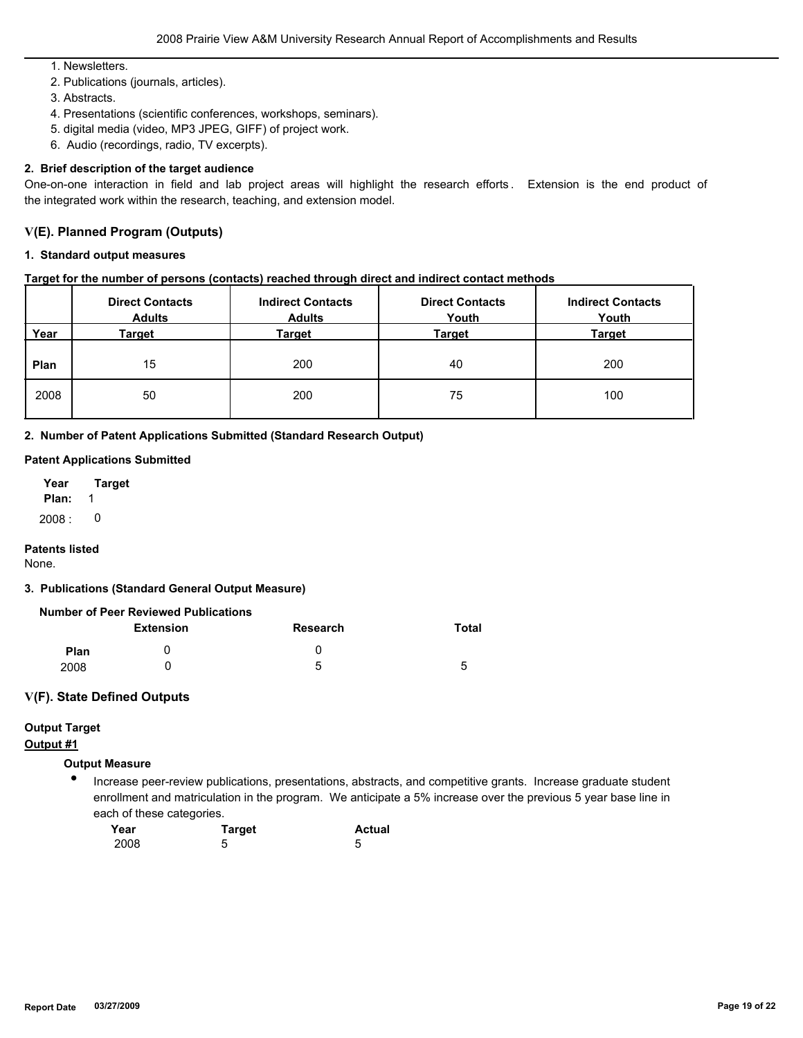1. Newsletters.

- 2. Publications (journals, articles).
- 3. Abstracts.
- 4. Presentations (scientific conferences, workshops, seminars).
- 5. digital media (video, MP3 JPEG, GIFF) of project work.
- 6. Audio (recordings, radio, TV excerpts).

### **2. Brief description of the target audience**

One-on-one interaction in field and lab project areas will highlight the research efforts . Extension is the end product of the integrated work within the research, teaching, and extension model.

### **V(E). Planned Program (Outputs)**

### **1. Standard output measures**

### **Target for the number of persons (contacts) reached through direct and indirect contact methods**

|      | <b>Direct Contacts</b><br><b>Adults</b> | <b>Indirect Contacts</b><br><b>Adults</b> | <b>Direct Contacts</b><br>Youth | <b>Indirect Contacts</b><br>Youth |
|------|-----------------------------------------|-------------------------------------------|---------------------------------|-----------------------------------|
| Year | Target                                  | <u>Target</u>                             | <u>Target</u>                   | <b>Target</b>                     |
| Plan | 15                                      | 200                                       | 40                              | 200                               |
| 2008 | 50                                      | 200                                       | 75                              | 100                               |

**2. Number of Patent Applications Submitted (Standard Research Output)**

### **Patent Applications Submitted**

| Year   | Target |
|--------|--------|
| Plan:  | 1      |
| 2008 : | O      |

### **Patents listed**

None.

### **3. Publications (Standard General Output Measure)**

| <b>Number of Peer Reviewed Publications</b> |  |
|---------------------------------------------|--|
|---------------------------------------------|--|

|      | <b>Extension</b> | <b>Research</b> | Total                         |
|------|------------------|-----------------|-------------------------------|
| Plan |                  | U               |                               |
| 2008 |                  | 5               | ∽<br>$\overline{\phantom{a}}$ |

### **V(F). State Defined Outputs**

# **Output Target**

# **Output #1**

# **Output Measure**

● Increase peer-review publications, presentations, abstracts, and competitive grants. Increase graduate student enrollment and matriculation in the program. We anticipate a 5% increase over the previous 5 year base line in each of these categories.

| Year | <b>Target</b> | <b>Actual</b> |
|------|---------------|---------------|
| 2008 | b             |               |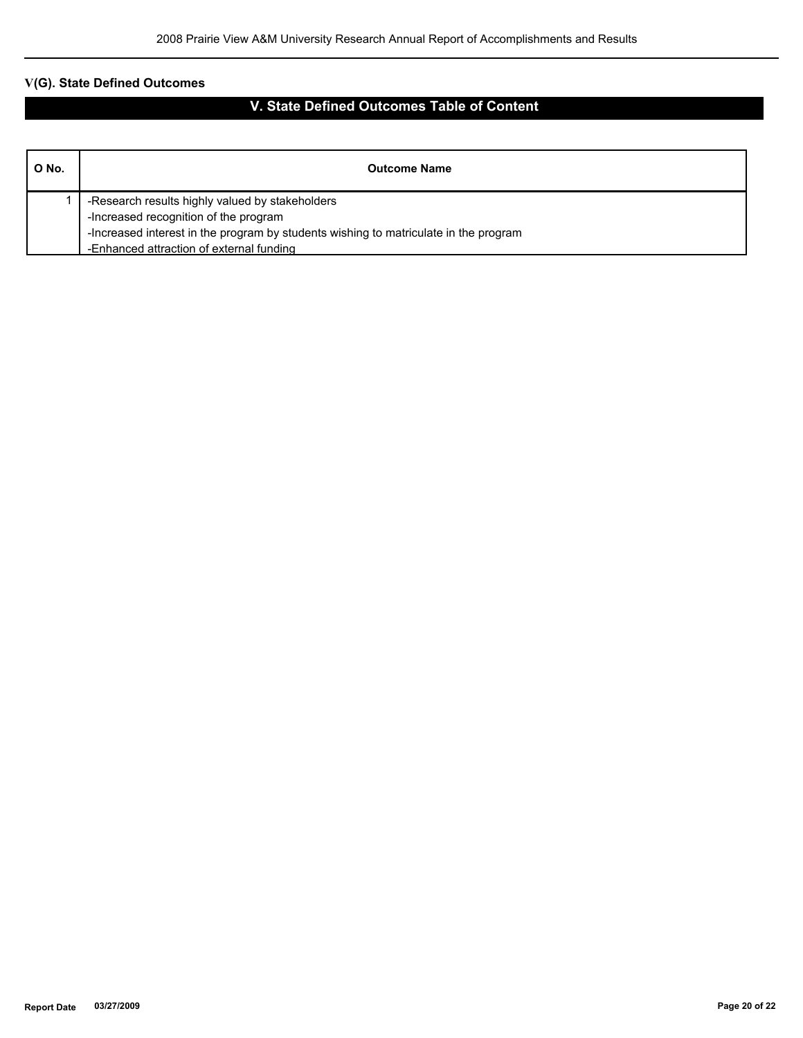# **V(G). State Defined Outcomes**

# **V. State Defined Outcomes Table of Content**

| O No. | <b>Outcome Name</b>                                                                  |
|-------|--------------------------------------------------------------------------------------|
|       | -Research results highly valued by stakeholders                                      |
|       | -Increased recognition of the program                                                |
|       | -Increased interest in the program by students wishing to matriculate in the program |
|       | -Enhanced attraction of external funding                                             |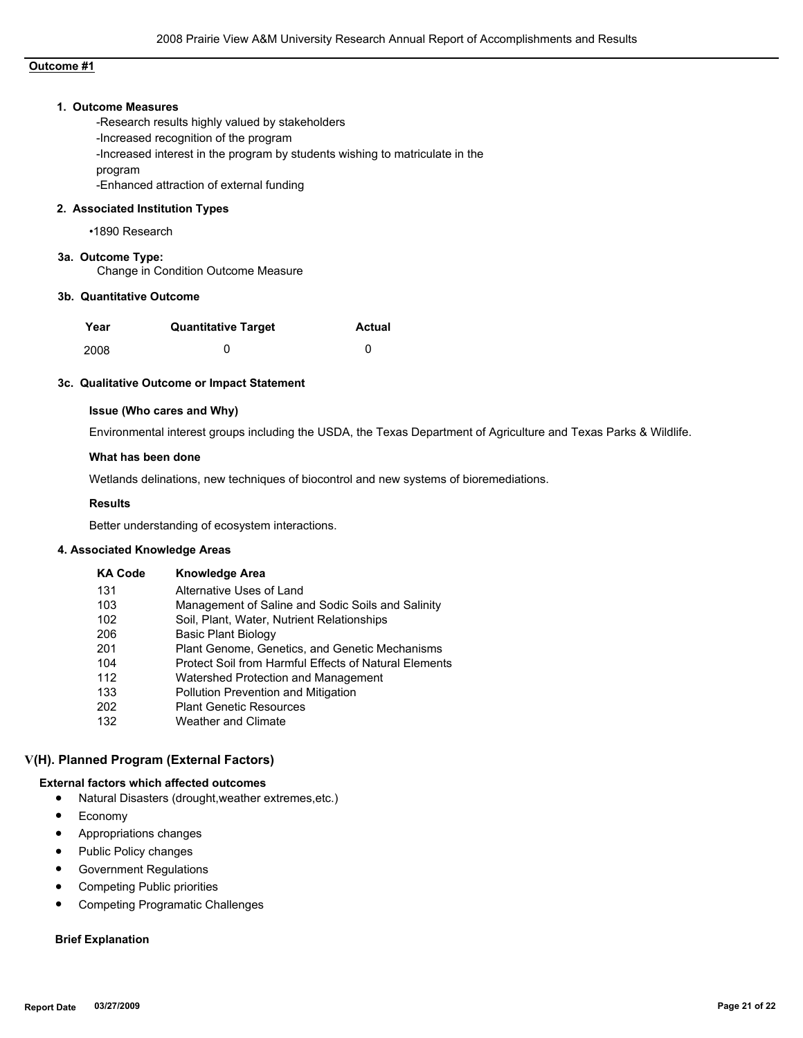### **Outcome #1**

### **1. Outcome Measures**

-Research results highly valued by stakeholders -Increased recognition of the program -Increased interest in the program by students wishing to matriculate in the program -Enhanced attraction of external funding

### **2. Associated Institution Types**

•1890 Research

# **3a. Outcome Type:**

Change in Condition Outcome Measure

## **3b. Quantitative Outcome**

| Year | <b>Quantitative Target</b> | Actual |
|------|----------------------------|--------|
| 2008 |                            |        |

#### **3c. Qualitative Outcome or Impact Statement**

### **Issue (Who cares and Why)**

Environmental interest groups including the USDA, the Texas Department of Agriculture and Texas Parks & Wildlife.

#### **What has been done**

Wetlands delinations, new techniques of biocontrol and new systems of bioremediations.

#### **Results**

Better understanding of ecosystem interactions.

#### **4. Associated Knowledge Areas**

| <b>KA Code</b> | <b>Knowledge Area</b>                                 |
|----------------|-------------------------------------------------------|
| 131            | Alternative Uses of Land                              |
| 103            | Management of Saline and Sodic Soils and Salinity     |
| 102            | Soil, Plant, Water, Nutrient Relationships            |
| 206            | Basic Plant Biology                                   |
| 201            | Plant Genome, Genetics, and Genetic Mechanisms        |
| 104            | Protect Soil from Harmful Effects of Natural Elements |
| 112            | Watershed Protection and Management                   |
| 133            | <b>Pollution Prevention and Mitigation</b>            |
| 202            | <b>Plant Genetic Resources</b>                        |
| 132            | Weather and Climate                                   |

### **V(H). Planned Program (External Factors)**

### **External factors which affected outcomes**

- Natural Disasters (drought,weather extremes,etc.)
- Economy
- Appropriations changes
- Public Policy changes
- Government Regulations
- Competing Public priorities
- Competing Programatic Challenges

### **Brief Explanation**